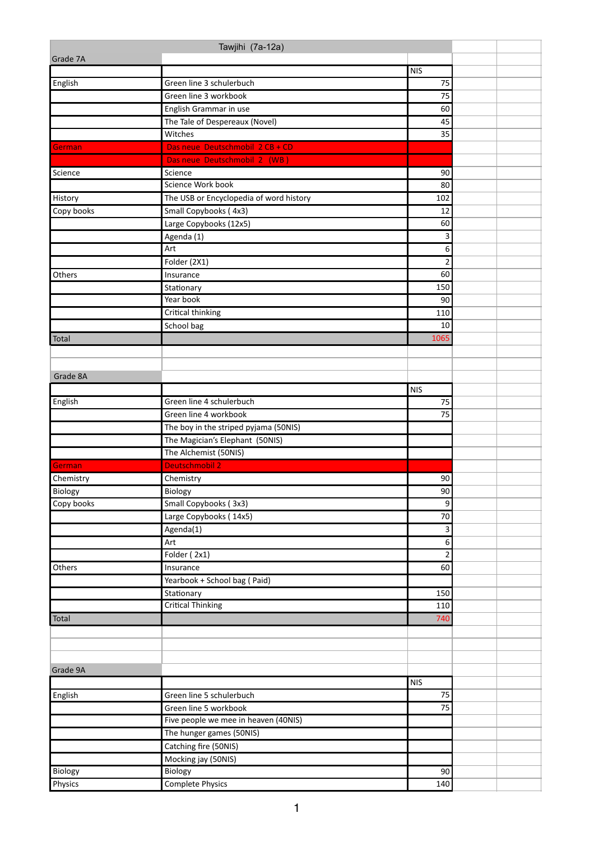|            | Tawjihi (7a-12a)                        |                |  |
|------------|-----------------------------------------|----------------|--|
| Grade 7A   |                                         |                |  |
|            |                                         | <b>NIS</b>     |  |
| English    | Green line 3 schulerbuch                | 75             |  |
|            | Green line 3 workbook                   | 75             |  |
|            | English Grammar in use                  | 60             |  |
|            | The Tale of Despereaux (Novel)          | 45             |  |
|            | Witches                                 | 35             |  |
| German     | Das neue Deutschmobil 2 CB + CD         |                |  |
|            | Das neue Deutschmobil 2 (WB)            |                |  |
| Science    | Science                                 | 90             |  |
|            | Science Work book                       | 80             |  |
| History    | The USB or Encyclopedia of word history | 102            |  |
| Copy books | Small Copybooks (4x3)                   | 12             |  |
|            | Large Copybooks (12x5)                  | 60             |  |
|            | Agenda (1)                              | 3              |  |
|            | Art                                     | 6              |  |
|            | Folder (2X1)                            | $\overline{2}$ |  |
| Others     | Insurance                               | 60             |  |
|            | Stationary                              | 150            |  |
|            | Year book                               | 90             |  |
|            | <b>Critical thinking</b>                | 110            |  |
|            | School bag                              | 10             |  |
| Total      |                                         | 1065           |  |
|            |                                         |                |  |
|            |                                         |                |  |
| Grade 8A   |                                         |                |  |
|            |                                         | <b>NIS</b>     |  |
| English    | Green line 4 schulerbuch                | 75             |  |
|            | Green line 4 workbook                   | 75             |  |
|            | The boy in the striped pyjama (50NIS)   |                |  |
|            | The Magician's Elephant (50NIS)         |                |  |
|            | The Alchemist (50NIS)                   |                |  |
| German     | <b>Deutschmobil 2</b>                   |                |  |
| Chemistry  | Chemistry                               | 90             |  |
| Biology    | Biology                                 | 90             |  |
| Copy books | Small Copybooks (3x3)                   | 9              |  |
|            | Large Copybooks (14x5)                  | 70             |  |
|            | Agenda(1)                               | $\mathsf 3$    |  |
|            | Art                                     | $\overline{6}$ |  |
|            | Folder (2x1)                            | $\overline{2}$ |  |
| Others     | Insurance                               | 60             |  |
|            | Yearbook + School bag (Paid)            |                |  |
|            | Stationary                              | 150            |  |
|            | <b>Critical Thinking</b>                | 110            |  |
| Total      |                                         | 740            |  |
|            |                                         |                |  |
|            |                                         |                |  |
|            |                                         |                |  |
| Grade 9A   |                                         |                |  |
|            |                                         | <b>NIS</b>     |  |
| English    | Green line 5 schulerbuch                | 75             |  |
|            | Green line 5 workbook                   | 75             |  |
|            | Five people we mee in heaven (40NIS)    |                |  |
|            | The hunger games (50NIS)                |                |  |
|            | Catching fire (50NIS)                   |                |  |
|            | Mocking jay (50NIS)                     |                |  |
| Biology    | Biology                                 | 90             |  |
| Physics    | <b>Complete Physics</b>                 | 140            |  |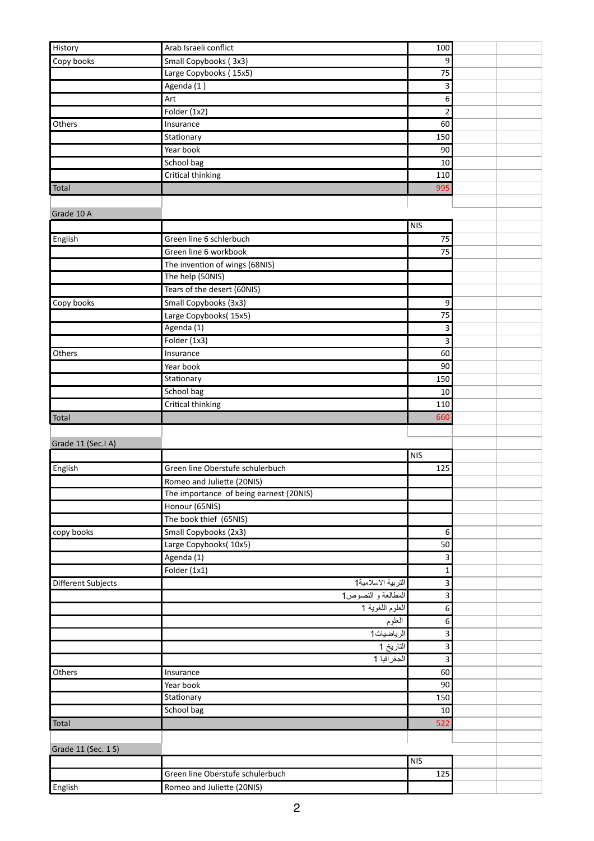| History             | Arab Israeli conflict                   | 100                     |  |
|---------------------|-----------------------------------------|-------------------------|--|
| Copy books          | Small Copybooks (3x3)                   | 9                       |  |
|                     | Large Copybooks (15x5)                  | 75                      |  |
|                     | Agenda (1)                              | 3                       |  |
|                     | Art                                     | 6                       |  |
|                     | Folder (1x2)                            | $\overline{2}$          |  |
| Others              | Insurance                               | 60                      |  |
|                     | Stationary                              | 150                     |  |
|                     | Year book                               | 90                      |  |
|                     |                                         | 10                      |  |
|                     | School bag<br><b>Critical thinking</b>  | 110                     |  |
| Total               |                                         | 995                     |  |
|                     |                                         |                         |  |
|                     |                                         |                         |  |
| Grade 10 A          |                                         | <b>NIS</b>              |  |
|                     |                                         |                         |  |
| English             | Green line 6 schlerbuch                 | 75                      |  |
|                     | Green line 6 workbook                   | 75                      |  |
|                     | The invention of wings (68NIS)          |                         |  |
|                     | The help (50NIS)                        |                         |  |
|                     | Tears of the desert (60NIS)             |                         |  |
| Copy books          | Small Copybooks (3x3)                   | 9                       |  |
|                     | Large Copybooks(15x5)                   | 75                      |  |
|                     | Agenda (1)                              | 3                       |  |
|                     | Folder (1x3)                            | 3                       |  |
| Others              | Insurance                               | 60                      |  |
|                     | Year book                               | 90                      |  |
|                     | Stationary                              | 150                     |  |
|                     | School bag                              | 10                      |  |
|                     | <b>Critical thinking</b>                | 110                     |  |
| Total               |                                         | 660                     |  |
|                     |                                         |                         |  |
| Grade 11 (Sec.I A)  |                                         |                         |  |
|                     |                                         | NIS                     |  |
| English             | Green line Oberstufe schulerbuch        | 125                     |  |
|                     | Romeo and Juliette (20NIS)              |                         |  |
|                     | The importance of being earnest (20NIS) |                         |  |
|                     | Honour (65NIS)                          |                         |  |
|                     | The book thief (65NIS)                  |                         |  |
| copy books          | Small Copybooks (2x3)                   | $\boldsymbol{6}$        |  |
|                     | Large Copybooks(10x5)                   | 50                      |  |
|                     | Agenda (1)                              | 3                       |  |
|                     | Folder $(1x1)$                          | $\mathbf{1}$            |  |
| Different Subjects  | التربية الاسلامية1                      | 3                       |  |
|                     | المطالعة و النصوص1                      | 3                       |  |
|                     | العلوم اللغوية 1                        | 6                       |  |
|                     | العلوم                                  | $\,6\,$                 |  |
|                     | الرياضيات1                              | 3                       |  |
|                     | التاريخ 1                               | 3                       |  |
|                     | الجغرافيا 1                             | $\overline{\mathbf{3}}$ |  |
| Others              | Insurance                               | 60                      |  |
|                     | Year book                               | 90                      |  |
|                     | Stationary                              | 150                     |  |
|                     | School bag                              | 10                      |  |
| Total               |                                         | 522                     |  |
|                     |                                         |                         |  |
| Grade 11 (Sec. 1 S) |                                         |                         |  |
|                     |                                         | NIS                     |  |
|                     | Green line Oberstufe schulerbuch        | 125                     |  |
| English             | Romeo and Juliette (20NIS)              |                         |  |